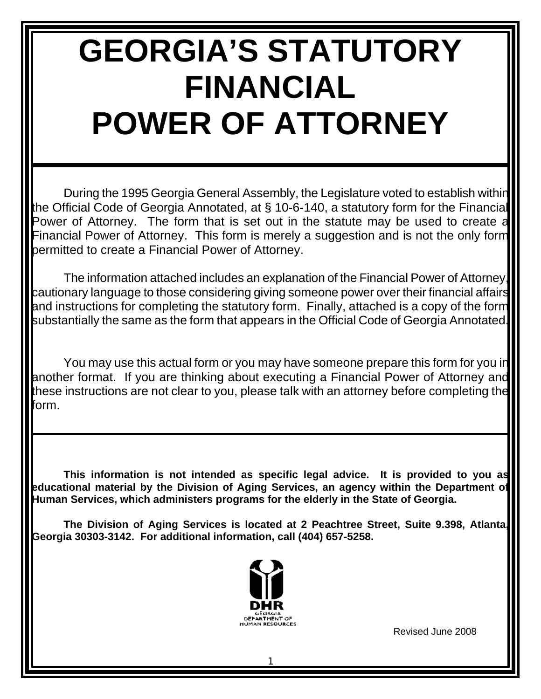# **GEORGIA'S STATUTORY FINANCIAL POWER OF ATTORNEY**

During the 1995 Georgia General Assembly, the Legislature voted to establish within the Official Code of Georgia Annotated, at § 10-6-140, a statutory form for the Financial Power of Attorney. The form that is set out in the statute may be used to create a Financial Power of Attorney. This form is merely a suggestion and is not the only form permitted to create a Financial Power of Attorney.

The information attached includes an explanation of the Financial Power of Attorney, cautionary language to those considering giving someone power over their financial affairs and instructions for completing the statutory form. Finally, attached is a copy of the form substantially the same as the form that appears in the Official Code of Georgia Annotated.

I

You may use this actual form or you may have someone prepare this form for you in another format. If you are thinking about executing a Financial Power of Attorney and these instructions are not clear to you, please talk with an attorney before completing the  $form.$ 

**This information is not intended as specific legal advice. It is provided to you as educational material by the Division of Aging Services, an agency within the Department of Human Services, which administers programs for the elderly in the State of Georgia.** 

**The Division of Aging Services is located at 2 Peachtree Street, Suite 9.398, Atlanta, Georgia 30303-3142. For additional information, call (404) 657-5258.** 



Revised June 2008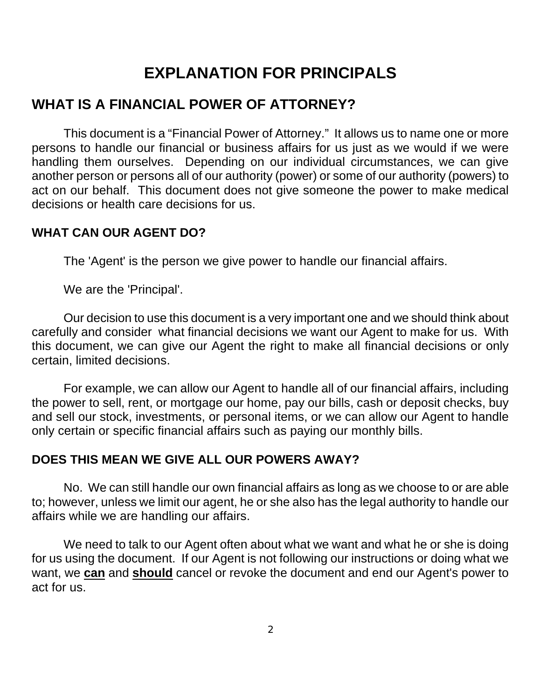# **EXPLANATION FOR PRINCIPALS**

# **WHAT IS A FINANCIAL POWER OF ATTORNEY?**

This document is a "Financial Power of Attorney." It allows us to name one or more persons to handle our financial or business affairs for us just as we would if we were handling them ourselves. Depending on our individual circumstances, we can give another person or persons all of our authority (power) or some of our authority (powers) to act on our behalf. This document does not give someone the power to make medical decisions or health care decisions for us.

#### **WHAT CAN OUR AGENT DO?**

The 'Agent' is the person we give power to handle our financial affairs.

We are the 'Principal'.

Our decision to use this document is a very important one and we should think about carefully and consider what financial decisions we want our Agent to make for us. With this document, we can give our Agent the right to make all financial decisions or only certain, limited decisions.

For example, we can allow our Agent to handle all of our financial affairs, including the power to sell, rent, or mortgage our home, pay our bills, cash or deposit checks, buy and sell our stock, investments, or personal items, or we can allow our Agent to handle only certain or specific financial affairs such as paying our monthly bills.

#### **DOES THIS MEAN WE GIVE ALL OUR POWERS AWAY?**

No. We can still handle our own financial affairs as long as we choose to or are able to; however, unless we limit our agent, he or she also has the legal authority to handle our affairs while we are handling our affairs.

We need to talk to our Agent often about what we want and what he or she is doing for us using the document. If our Agent is not following our instructions or doing what we want, we **can** and **should** cancel or revoke the document and end our Agent's power to act for us.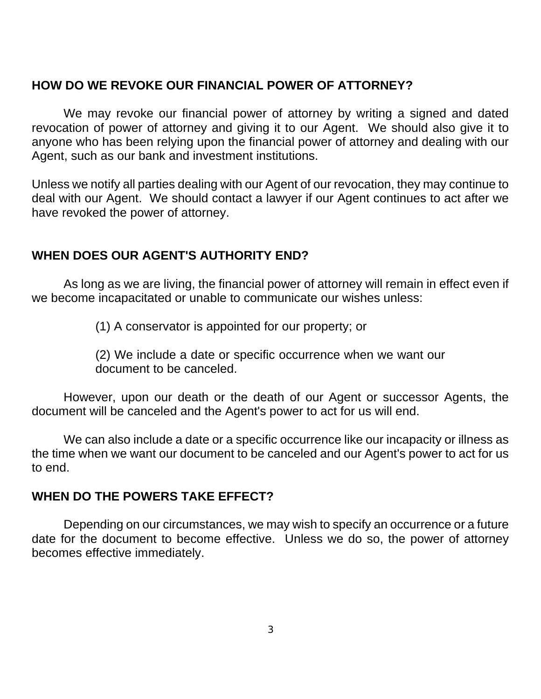#### **HOW DO WE REVOKE OUR FINANCIAL POWER OF ATTORNEY?**

We may revoke our financial power of attorney by writing a signed and dated revocation of power of attorney and giving it to our Agent. We should also give it to anyone who has been relying upon the financial power of attorney and dealing with our Agent, such as our bank and investment institutions.

Unless we notify all parties dealing with our Agent of our revocation, they may continue to deal with our Agent. We should contact a lawyer if our Agent continues to act after we have revoked the power of attorney.

#### **WHEN DOES OUR AGENT'S AUTHORITY END?**

As long as we are living, the financial power of attorney will remain in effect even if we become incapacitated or unable to communicate our wishes unless:

(1) A conservator is appointed for our property; or

(2) We include a date or specific occurrence when we want our document to be canceled.

However, upon our death or the death of our Agent or successor Agents, the document will be canceled and the Agent's power to act for us will end.

We can also include a date or a specific occurrence like our incapacity or illness as the time when we want our document to be canceled and our Agent's power to act for us to end.

#### **WHEN DO THE POWERS TAKE EFFECT?**

Depending on our circumstances, we may wish to specify an occurrence or a future date for the document to become effective. Unless we do so, the power of attorney becomes effective immediately.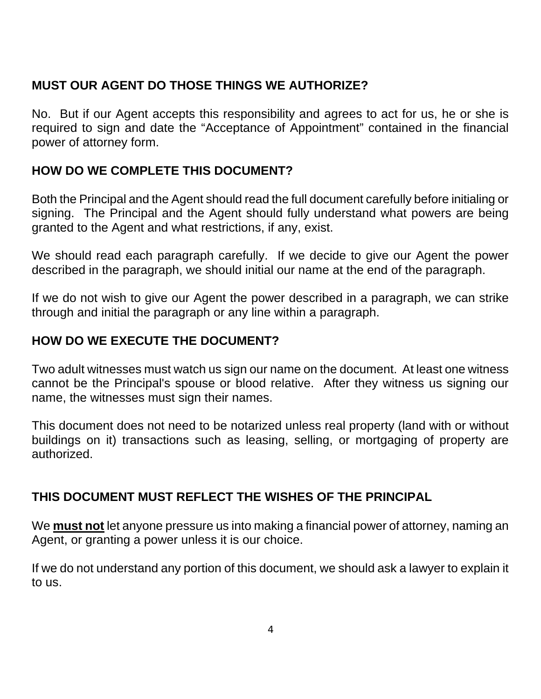# **MUST OUR AGENT DO THOSE THINGS WE AUTHORIZE?**

No. But if our Agent accepts this responsibility and agrees to act for us, he or she is required to sign and date the "Acceptance of Appointment" contained in the financial power of attorney form.

# **HOW DO WE COMPLETE THIS DOCUMENT?**

Both the Principal and the Agent should read the full document carefully before initialing or signing. The Principal and the Agent should fully understand what powers are being granted to the Agent and what restrictions, if any, exist.

We should read each paragraph carefully. If we decide to give our Agent the power described in the paragraph, we should initial our name at the end of the paragraph.

If we do not wish to give our Agent the power described in a paragraph, we can strike through and initial the paragraph or any line within a paragraph.

#### **HOW DO WE EXECUTE THE DOCUMENT?**

Two adult witnesses must watch us sign our name on the document. At least one witness cannot be the Principal's spouse or blood relative. After they witness us signing our name, the witnesses must sign their names.

This document does not need to be notarized unless real property (land with or without buildings on it) transactions such as leasing, selling, or mortgaging of property are authorized.

# **THIS DOCUMENT MUST REFLECT THE WISHES OF THE PRINCIPAL**

We **must not** let anyone pressure us into making a financial power of attorney, naming an Agent, or granting a power unless it is our choice.

If we do not understand any portion of this document, we should ask a lawyer to explain it to us.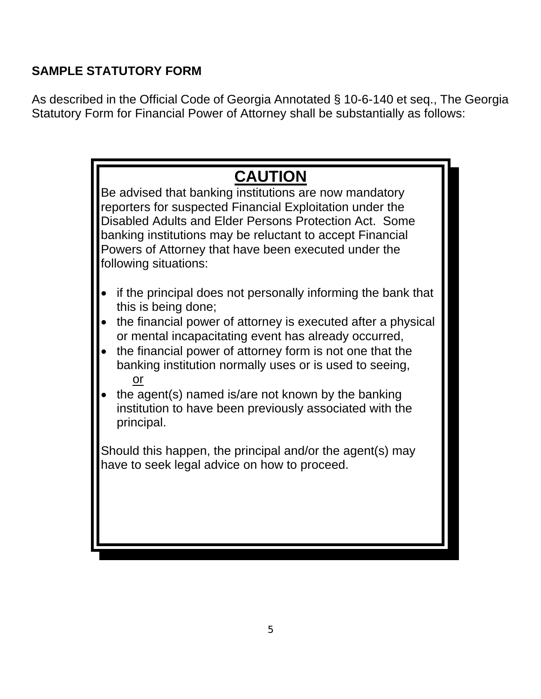# **SAMPLE STATUTORY FORM**

As described in the Official Code of Georgia Annotated § 10-6-140 et seq., The Georgia Statutory Form for Financial Power of Attorney shall be substantially as follows:

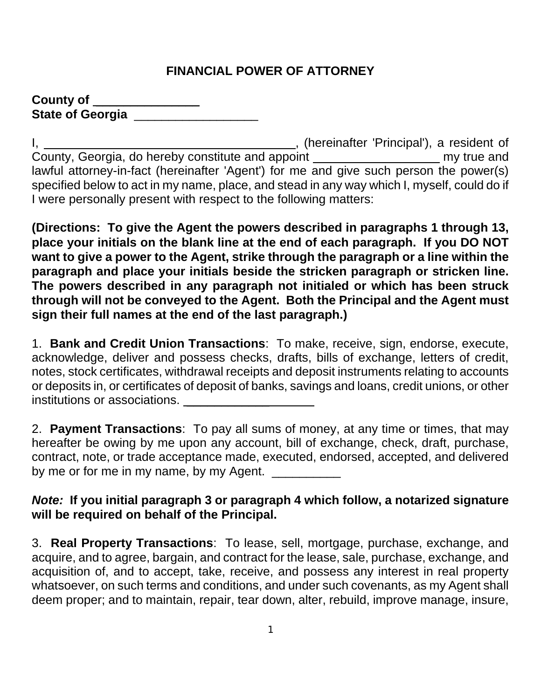#### **FINANCIAL POWER OF ATTORNEY**

| <b>County of</b>        |  |
|-------------------------|--|
| <b>State of Georgia</b> |  |

I, , (hereinafter 'Principal'), a resident of County, Georgia, do hereby constitute and appoint **constant and my true and** my true and lawful attorney-in-fact (hereinafter 'Agent') for me and give such person the power(s) specified below to act in my name, place, and stead in any way which I, myself, could do if I were personally present with respect to the following matters:

**(Directions: To give the Agent the powers described in paragraphs 1 through 13, place your initials on the blank line at the end of each paragraph. If you DO NOT want to give a power to the Agent, strike through the paragraph or a line within the paragraph and place your initials beside the stricken paragraph or stricken line. The powers described in any paragraph not initialed or which has been struck through will not be conveyed to the Agent. Both the Principal and the Agent must sign their full names at the end of the last paragraph.)** 

1. **Bank and Credit Union Transactions**: To make, receive, sign, endorse, execute, acknowledge, deliver and possess checks, drafts, bills of exchange, letters of credit, notes, stock certificates, withdrawal receipts and deposit instruments relating to accounts or deposits in, or certificates of deposit of banks, savings and loans, credit unions, or other institutions or associations.

2. **Payment Transactions**: To pay all sums of money, at any time or times, that may hereafter be owing by me upon any account, bill of exchange, check, draft, purchase, contract, note, or trade acceptance made, executed, endorsed, accepted, and delivered by me or for me in my name, by my Agent.

#### *Note:* **If you initial paragraph 3 or paragraph 4 which follow, a notarized signature will be required on behalf of the Principal.**

3. **Real Property Transactions**: To lease, sell, mortgage, purchase, exchange, and acquire, and to agree, bargain, and contract for the lease, sale, purchase, exchange, and acquisition of, and to accept, take, receive, and possess any interest in real property whatsoever, on such terms and conditions, and under such covenants, as my Agent shall deem proper; and to maintain, repair, tear down, alter, rebuild, improve manage, insure,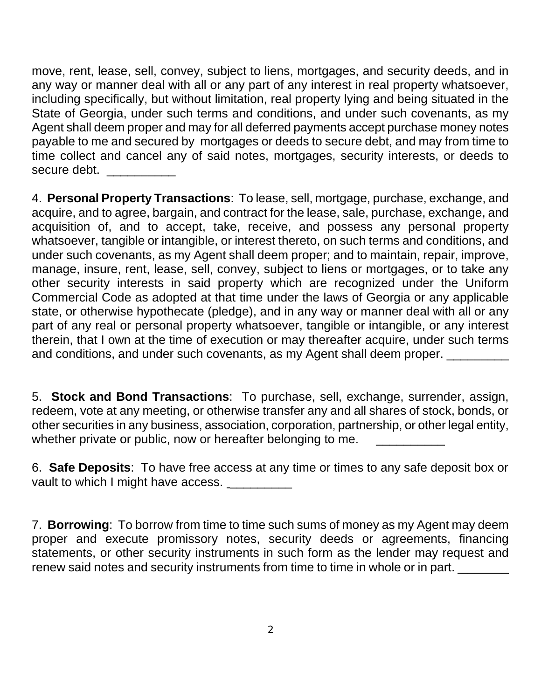move, rent, lease, sell, convey, subject to liens, mortgages, and security deeds, and in any way or manner deal with all or any part of any interest in real property whatsoever, including specifically, but without limitation, real property lying and being situated in the State of Georgia, under such terms and conditions, and under such covenants, as my Agent shall deem proper and may for all deferred payments accept purchase money notes payable to me and secured by mortgages or deeds to secure debt, and may from time to time collect and cancel any of said notes, mortgages, security interests, or deeds to secure debt.

4. **Personal Property Transactions**: To lease, sell, mortgage, purchase, exchange, and acquire, and to agree, bargain, and contract for the lease, sale, purchase, exchange, and acquisition of, and to accept, take, receive, and possess any personal property whatsoever, tangible or intangible, or interest thereto, on such terms and conditions, and under such covenants, as my Agent shall deem proper; and to maintain, repair, improve, manage, insure, rent, lease, sell, convey, subject to liens or mortgages, or to take any other security interests in said property which are recognized under the Uniform Commercial Code as adopted at that time under the laws of Georgia or any applicable state, or otherwise hypothecate (pledge), and in any way or manner deal with all or any part of any real or personal property whatsoever, tangible or intangible, or any interest therein, that I own at the time of execution or may thereafter acquire, under such terms and conditions, and under such covenants, as my Agent shall deem proper. \_\_\_\_\_\_\_

5. **Stock and Bond Transactions**: To purchase, sell, exchange, surrender, assign, redeem, vote at any meeting, or otherwise transfer any and all shares of stock, bonds, or other securities in any business, association, corporation, partnership, or other legal entity, whether private or public, now or hereafter belonging to me.

6. **Safe Deposits**: To have free access at any time or times to any safe deposit box or vault to which I might have access.

7. **Borrowing**: To borrow from time to time such sums of money as my Agent may deem proper and execute promissory notes, security deeds or agreements, financing statements, or other security instruments in such form as the lender may request and renew said notes and security instruments from time to time in whole or in part. \_\_\_\_\_\_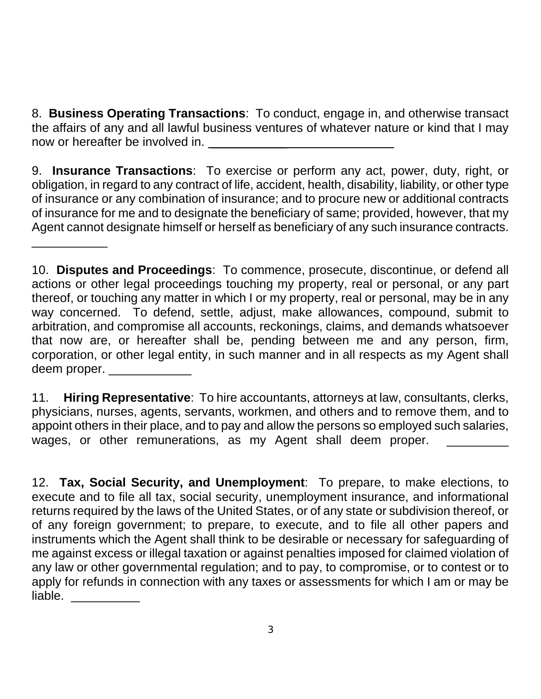8. **Business Operating Transactions**: To conduct, engage in, and otherwise transact the affairs of any and all lawful business ventures of whatever nature or kind that I may now or hereafter be involved in.

9. **Insurance Transactions**: To exercise or perform any act, power, duty, right, or obligation, in regard to any contract of life, accident, health, disability, liability, or other type of insurance or any combination of insurance; and to procure new or additional contracts of insurance for me and to designate the beneficiary of same; provided, however, that my Agent cannot designate himself or herself as beneficiary of any such insurance contracts.

\_\_\_\_\_\_\_\_\_\_\_

10. **Disputes and Proceedings**: To commence, prosecute, discontinue, or defend all actions or other legal proceedings touching my property, real or personal, or any part thereof, or touching any matter in which I or my property, real or personal, may be in any way concerned. To defend, settle, adjust, make allowances, compound, submit to arbitration, and compromise all accounts, reckonings, claims, and demands whatsoever that now are, or hereafter shall be, pending between me and any person, firm, corporation, or other legal entity, in such manner and in all respects as my Agent shall deem proper.

11. **Hiring Representative**: To hire accountants, attorneys at law, consultants, clerks, physicians, nurses, agents, servants, workmen, and others and to remove them, and to appoint others in their place, and to pay and allow the persons so employed such salaries, wages, or other remunerations, as my Agent shall deem proper.

12. **Tax, Social Security, and Unemployment**: To prepare, to make elections, to execute and to file all tax, social security, unemployment insurance, and informational returns required by the laws of the United States, or of any state or subdivision thereof, or of any foreign government; to prepare, to execute, and to file all other papers and instruments which the Agent shall think to be desirable or necessary for safeguarding of me against excess or illegal taxation or against penalties imposed for claimed violation of any law or other governmental regulation; and to pay, to compromise, or to contest or to apply for refunds in connection with any taxes or assessments for which I am or may be  $l$ iable.  $\Box$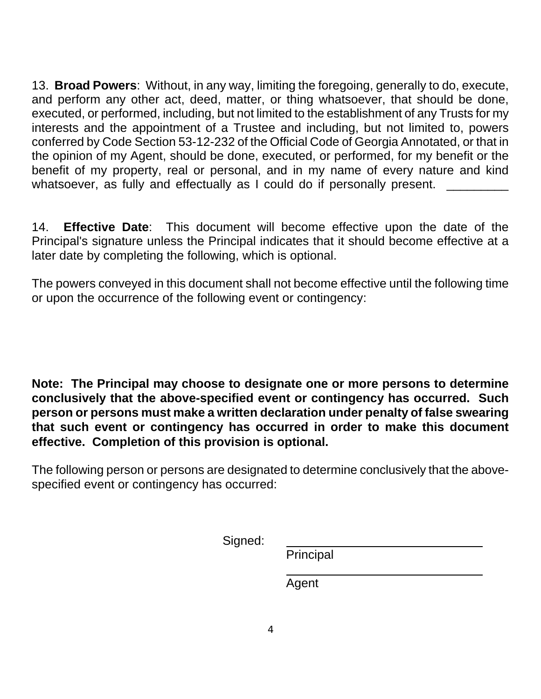13. **Broad Powers**: Without, in any way, limiting the foregoing, generally to do, execute, and perform any other act, deed, matter, or thing whatsoever, that should be done, executed, or performed, including, but not limited to the establishment of any Trusts for my interests and the appointment of a Trustee and including, but not limited to, powers conferred by Code Section 53-12-232 of the Official Code of Georgia Annotated, or that in the opinion of my Agent, should be done, executed, or performed, for my benefit or the benefit of my property, real or personal, and in my name of every nature and kind whatsoever, as fully and effectually as I could do if personally present.

14. **Effective Date**: This document will become effective upon the date of the Principal's signature unless the Principal indicates that it should become effective at a later date by completing the following, which is optional.

The powers conveyed in this document shall not become effective until the following time or upon the occurrence of the following event or contingency:

**Note: The Principal may choose to designate one or more persons to determine conclusively that the above-specified event or contingency has occurred. Such person or persons must make a written declaration under penalty of false swearing that such event or contingency has occurred in order to make this document effective. Completion of this provision is optional.** 

The following person or persons are designated to determine conclusively that the abovespecified event or contingency has occurred:

Signed:

Principal

Agent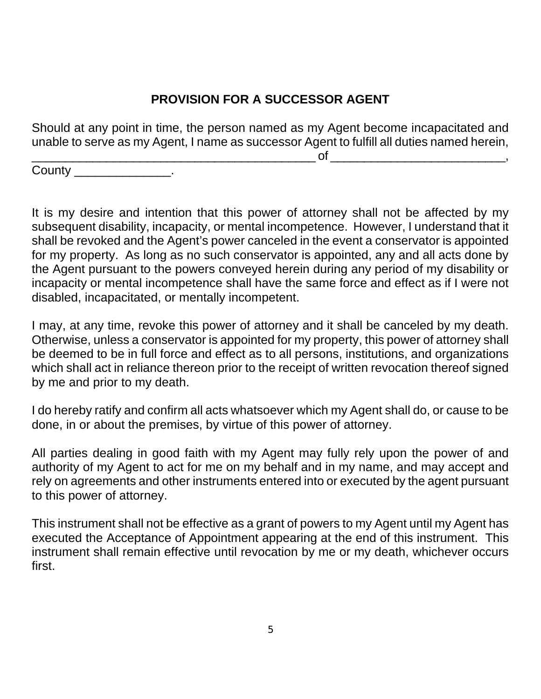# **PROVISION FOR A SUCCESSOR AGENT**

Should at any point in time, the person named as my Agent become incapacitated and unable to serve as my Agent, I name as successor Agent to fulfill all duties named herein, \_\_\_\_\_\_\_\_\_\_\_\_\_\_\_\_\_\_\_\_\_\_\_\_\_\_\_\_\_\_\_\_\_\_\_\_\_\_\_\_\_\_ of \_\_\_\_\_\_\_\_\_\_\_\_\_\_\_\_\_\_\_\_\_\_\_\_\_\_,

County the count of the country of the country of the country of the country of the country of the country of the country of the country of the country of the country of the country of the country of the country of the cou

It is my desire and intention that this power of attorney shall not be affected by my subsequent disability, incapacity, or mental incompetence. However, I understand that it shall be revoked and the Agent's power canceled in the event a conservator is appointed for my property. As long as no such conservator is appointed, any and all acts done by the Agent pursuant to the powers conveyed herein during any period of my disability or incapacity or mental incompetence shall have the same force and effect as if I were not disabled, incapacitated, or mentally incompetent.

I may, at any time, revoke this power of attorney and it shall be canceled by my death. Otherwise, unless a conservator is appointed for my property, this power of attorney shall be deemed to be in full force and effect as to all persons, institutions, and organizations which shall act in reliance thereon prior to the receipt of written revocation thereof signed by me and prior to my death.

I do hereby ratify and confirm all acts whatsoever which my Agent shall do, or cause to be done, in or about the premises, by virtue of this power of attorney.

All parties dealing in good faith with my Agent may fully rely upon the power of and authority of my Agent to act for me on my behalf and in my name, and may accept and rely on agreements and other instruments entered into or executed by the agent pursuant to this power of attorney.

This instrument shall not be effective as a grant of powers to my Agent until my Agent has executed the Acceptance of Appointment appearing at the end of this instrument. This instrument shall remain effective until revocation by me or my death, whichever occurs first.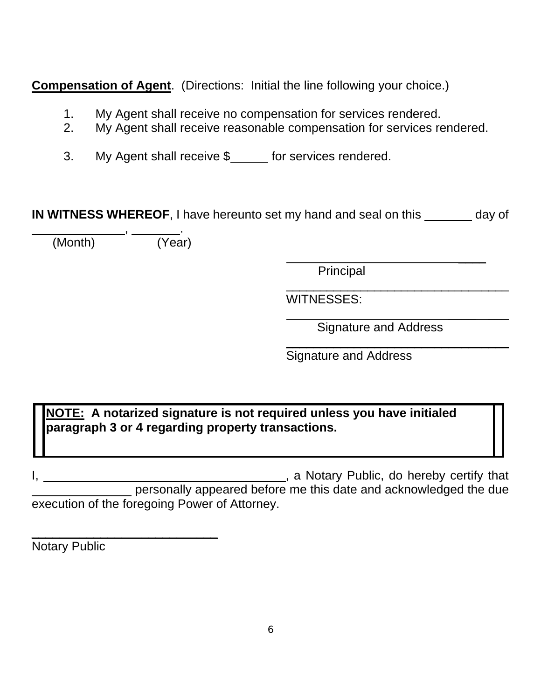**Compensation of Agent**. (Directions: Initial the line following your choice.)

- 1. My Agent shall receive no compensation for services rendered.
- 2. My Agent shall receive reasonable compensation for services rendered.
- 3. My Agent shall receive \$\_\_\_\_\_ for services rendered.

**IN WITNESS WHEREOF, I** have hereunto set my hand and seal on this day of

 , . (Month) (Year)

Principal

\_\_\_\_\_\_\_\_\_\_\_\_\_\_\_\_\_\_\_\_\_\_\_\_\_\_\_\_\_\_\_\_\_ WITNESSES:

 \_\_\_\_ \_\_\_ Signature and Address

\_\_\_\_

 $\_$ Signature and Address

**NOTE: A notarized signature is not required unless you have initialed paragraph 3 or 4 regarding property transactions.**

I, , a Notary Public, do hereby certify that personally appeared before me this date and acknowledged the due execution of the foregoing Power of Attorney.

Notary Public

\_\_\_\_\_\_\_\_\_\_\_\_\_\_\_\_\_\_\_\_\_\_\_\_\_\_\_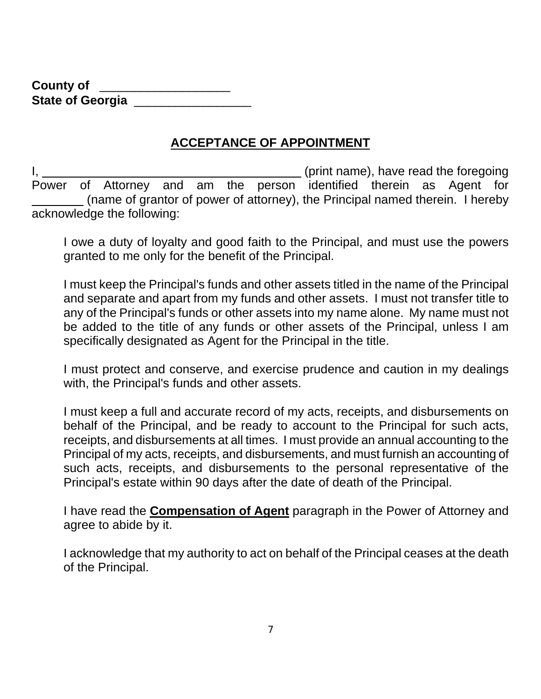| <b>County of</b>        |  |
|-------------------------|--|
| <b>State of Georgia</b> |  |

# **ACCEPTANCE OF APPOINTMENT**

I, (print name), have read the foregoing Power of Attorney and am the person identified therein as Agent for (name of grantor of power of attorney), the Principal named therein. I hereby acknowledge the following:

I owe a duty of loyalty and good faith to the Principal, and must use the powers granted to me only for the benefit of the Principal.

I must keep the Principal's funds and other assets titled in the name of the Principal and separate and apart from my funds and other assets. I must not transfer title to any of the Principal's funds or other assets into my name alone. My name must not be added to the title of any funds or other assets of the Principal, unless I am specifically designated as Agent for the Principal in the title.

I must protect and conserve, and exercise prudence and caution in my dealings with, the Principal's funds and other assets.

I must keep a full and accurate record of my acts, receipts, and disbursements on behalf of the Principal, and be ready to account to the Principal for such acts, receipts, and disbursements at all times. I must provide an annual accounting to the Principal of my acts, receipts, and disbursements, and must furnish an accounting of such acts, receipts, and disbursements to the personal representative of the Principal's estate within 90 days after the date of death of the Principal.

I have read the **Compensation of Agent** paragraph in the Power of Attorney and agree to abide by it.

I acknowledge that my authority to act on behalf of the Principal ceases at the death of the Principal.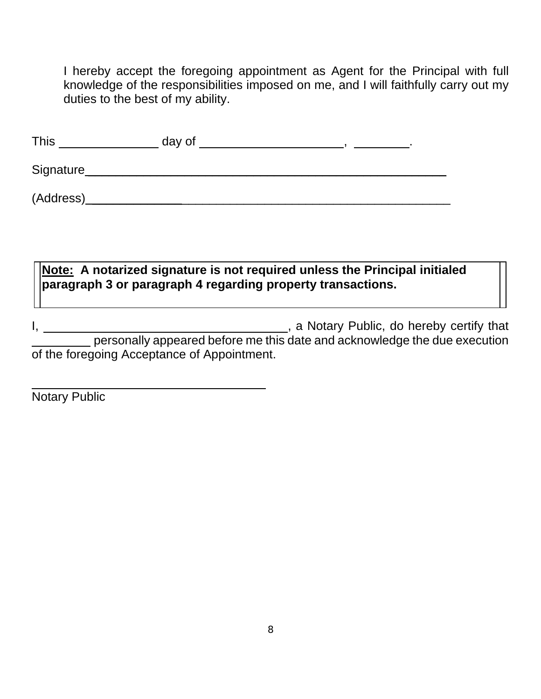I hereby accept the foregoing appointment as Agent for the Principal with full knowledge of the responsibilities imposed on me, and I will faithfully carry out my duties to the best of my ability.

| <b>This</b> | day of |  |
|-------------|--------|--|
| Signature   |        |  |
| (Address)   |        |  |

# **Note: A notarized signature is not required unless the Principal initialed paragraph 3 or paragraph 4 regarding property transactions.**

I, , a Notary Public, do hereby certify that personally appeared before me this date and acknowledge the due execution of the foregoing Acceptance of Appointment.

Notary Public

 $\overline{a}$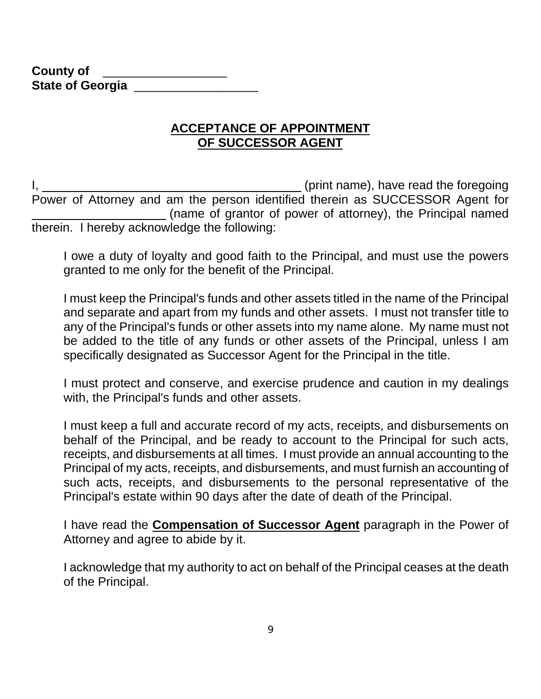| <b>County of</b>        |  |
|-------------------------|--|
| <b>State of Georgia</b> |  |

#### **ACCEPTANCE OF APPOINTMENT OF SUCCESSOR AGENT**

(print name), have read the foregoing Power of Attorney and am the person identified therein as SUCCESSOR Agent for (name of grantor of power of attorney), the Principal named therein. I hereby acknowledge the following:

I owe a duty of loyalty and good faith to the Principal, and must use the powers granted to me only for the benefit of the Principal.

I must keep the Principal's funds and other assets titled in the name of the Principal and separate and apart from my funds and other assets. I must not transfer title to any of the Principal's funds or other assets into my name alone. My name must not be added to the title of any funds or other assets of the Principal, unless I am specifically designated as Successor Agent for the Principal in the title.

I must protect and conserve, and exercise prudence and caution in my dealings with, the Principal's funds and other assets.

I must keep a full and accurate record of my acts, receipts, and disbursements on behalf of the Principal, and be ready to account to the Principal for such acts, receipts, and disbursements at all times. I must provide an annual accounting to the Principal of my acts, receipts, and disbursements, and must furnish an accounting of such acts, receipts, and disbursements to the personal representative of the Principal's estate within 90 days after the date of death of the Principal.

I have read the **Compensation of Successor Agent** paragraph in the Power of Attorney and agree to abide by it.

I acknowledge that my authority to act on behalf of the Principal ceases at the death of the Principal.

9